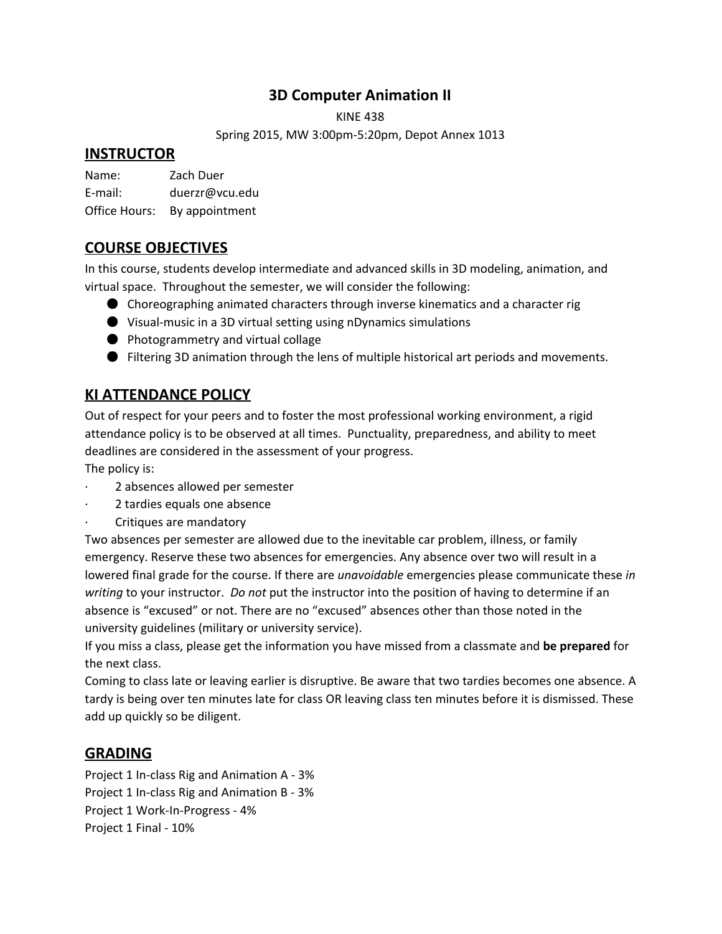# **3D Computer Animation II**

KINE 438

Spring 2015, MW 3:00pm-5:20pm, Depot Annex 1013

## **INSTRUCTOR**

Name: Zach Duer E-mail: duerzr@vcu.edu Office Hours: By appointment

# **COURSE OBJECTIVES**

In this course, students develop intermediate and advanced skills in 3D modeling, animation, and virtual space. Throughout the semester, we will consider the following:

- Choreographing animated characters through inverse kinematics and a character rig
- Visual-music in a 3D virtual setting using nDynamics simulations
- Photogrammetry and virtual collage
- Filtering 3D animation through the lens of multiple historical art periods and movements.

# **KI ATTENDANCE POLICY**

Out of respect for your peers and to foster the most professional working environment, a rigid attendance policy is to be observed at all times. Punctuality, preparedness, and ability to meet deadlines are considered in the assessment of your progress.

The policy is:

- 2 absences allowed per semester
- 2 tardies equals one absence
- · Critiques are mandatory

Two absences per semester are allowed due to the inevitable car problem, illness, or family emergency. Reserve these two absences for emergencies. Any absence over two will result in a lowered final grade for the course. If there are *unavoidable* emergencies please communicate these *in writing* to your instructor. *Do not* put the instructor into the position of having to determine if an absence is "excused" or not. There are no "excused" absences other than those noted in the university guidelines (military or university service).

If you miss a class, please get the information you have missed from a classmate and **be prepared**for the next class.

Coming to class late or leaving earlier is disruptive. Be aware that two tardies becomes one absence. A tardy is being over ten minutes late for class OR leaving class ten minutes before it is dismissed. These add up quickly so be diligent.

## **GRADING**

Project 1 In-class Rig and Animation A - 3% Project 1 In-class Rig and Animation B - 3% Project 1 Work-In-Progress - 4% Project 1 Final - 10%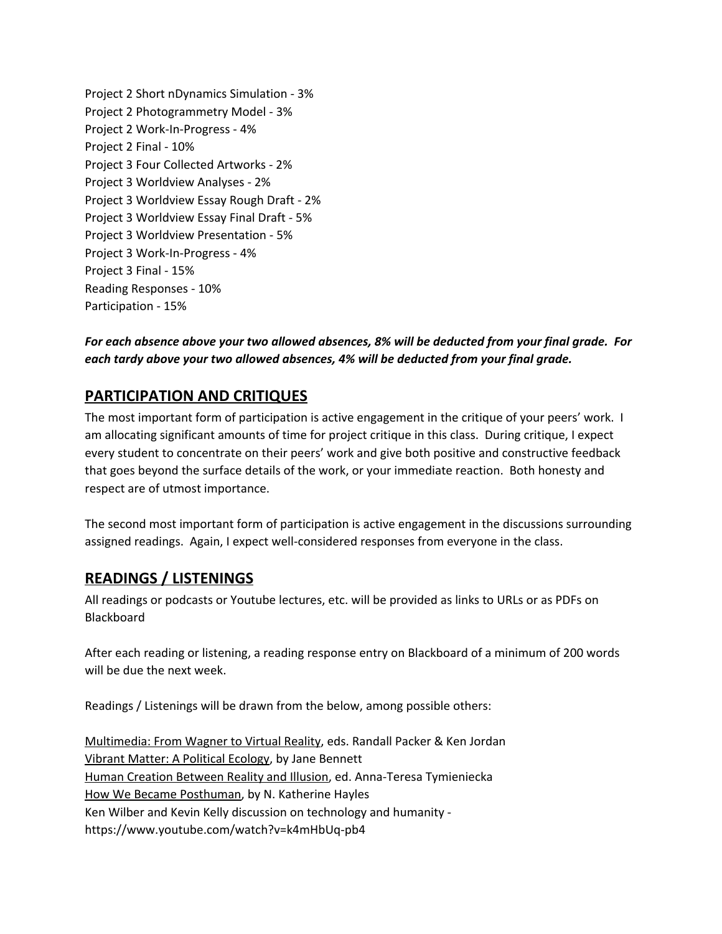Project 2 Short nDynamics Simulation - 3% Project 2 Photogrammetry Model - 3% Project 2 Work-In-Progress - 4% Project 2 Final - 10% Project 3 Four Collected Artworks - 2% Project 3 Worldview Analyses - 2% Project 3 Worldview Essay Rough Draft - 2% Project 3 Worldview Essay Final Draft - 5% Project 3 Worldview Presentation - 5% Project 3 Work-In-Progress - 4% Project 3 Final - 15% Reading Responses - 10% Participation - 15%

### *For each absence above your two allowed absences, 8% will be deducted from your final grade. For each tardy above your two allowed absences, 4% will be deducted from your final grade.*

# **PARTICIPATION AND CRITIQUES**

The most important form of participation is active engagement in the critique of your peers' work. I am allocating significant amounts of time for project critique in this class. During critique, I expect every student to concentrate on their peers' work and give both positive and constructive feedback that goes beyond the surface details of the work, or your immediate reaction. Both honesty and respect are of utmost importance.

The second most important form of participation is active engagement in the discussions surrounding assigned readings. Again, I expect well-considered responses from everyone in the class.

## **READINGS / LISTENINGS**

All readings or podcasts or Youtube lectures, etc. will be provided as links to URLs or as PDFs on Blackboard

After each reading or listening, a reading response entry on Blackboard of a minimum of 200 words will be due the next week.

Readings / Listenings will be drawn from the below, among possible others:

Multimedia: From Wagner to Virtual Reality, eds. Randall Packer & Ken Jordan Vibrant Matter: A Political Ecology, by Jane Bennett Human Creation Between Reality and Illusion, ed. Anna-Teresa Tymieniecka How We Became Posthuman, by N. Katherine Hayles Ken Wilber and Kevin Kelly discussion on technology and humanity https://www.youtube.com/watch?v=k4mHbUq-pb4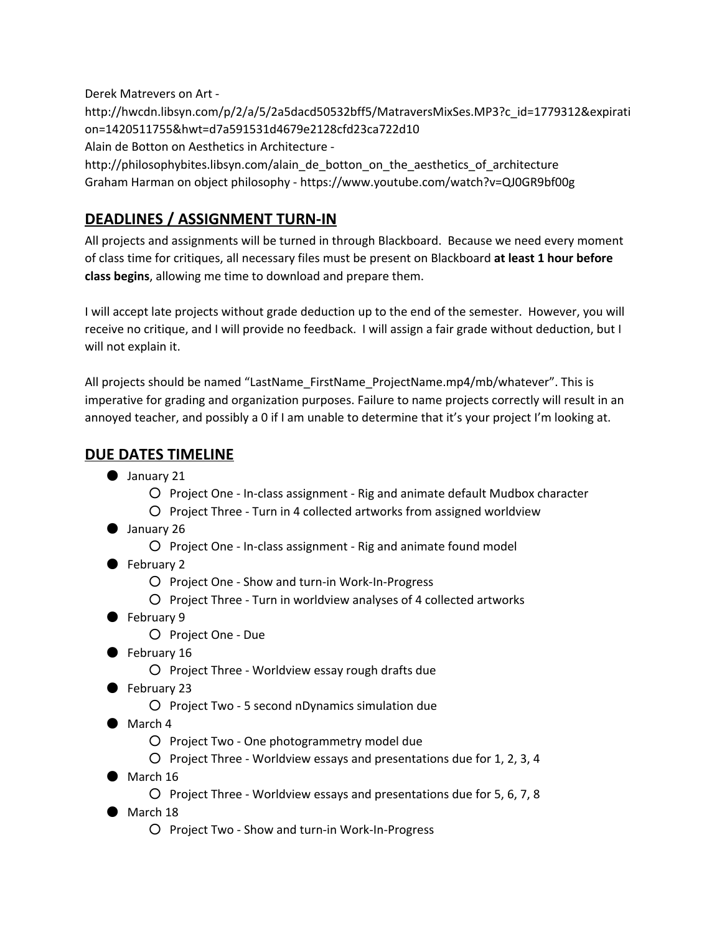Derek Matrevers on Art http://hwcdn.libsyn.com/p/2/a/5/2a5dacd50532bff5/MatraversMixSes.MP3?c\_id=1779312&expirati on=1420511755&hwt=d7a591531d4679e2128cfd23ca722d10 Alain de Botton on Aesthetics in Architecture http://philosophybites.libsyn.com/alain\_de\_botton\_on\_the\_aesthetics\_of\_architecture

Graham Harman on object philosophy - https://www.youtube.com/watch?v=QJ0GR9bf00g

# **DEADLINES / ASSIGNMENT TURN-IN**

All projects and assignments will be turned in through Blackboard. Because we need every moment of class time for critiques, all necessary files must be present on Blackboard **at least 1 hour before class begins**, allowing me time to download and prepare them.

I will accept late projects without grade deduction up to the end of the semester. However, you will receive no critique, and I will provide no feedback. I will assign a fair grade without deduction, but I will not explain it.

All projects should be named "LastName\_FirstName\_ProjectName.mp4/mb/whatever". This is imperative for grading and organization purposes. Failure to name projects correctly will result in an annoyed teacher, and possibly a 0 if I am unable to determine that it's your project I'm looking at.

# **DUE DATES TIMELINE**

- January 21
	- Project One In-class assignment Rig and animate default Mudbox character
	- Project Three Turn in 4 collected artworks from assigned worldview
- January 26
	- Project One In-class assignment Rig and animate found model
- February 2
	- Project One Show and turn-in Work-In-Progress
	- Project Three Turn in worldview analyses of 4 collected artworks
- February 9
	- Project One Due
- February 16
	- Project Three Worldview essay rough drafts due
- February 23
	- Project Two 5 second nDynamics simulation due
- March 4
	- Project Two One photogrammetry model due
	- Project Three Worldview essays and presentations due for 1, 2, 3, 4
- $\bullet$  March 16
	- Project Three Worldview essays and presentations due for 5, 6, 7, 8
- March 18
	- Project Two Show and turn-in Work-In-Progress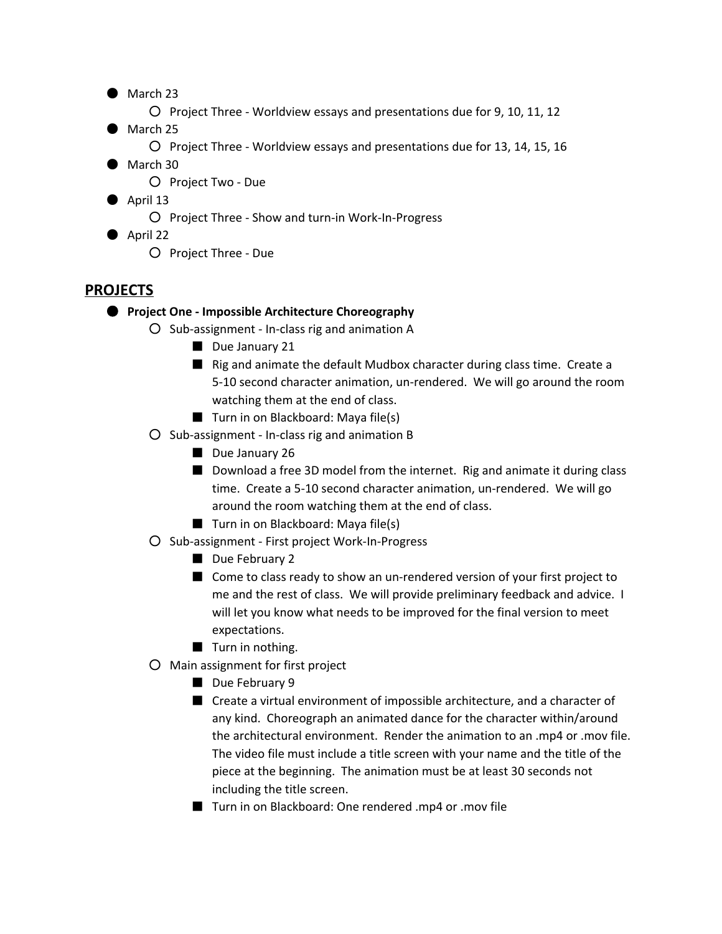- March 23
	- Project Three Worldview essays and presentations due for 9, 10, 11, 12
- March 25
	- Project Three Worldview essays and presentations due for 13, 14, 15, 16
- March 30
	- Project Two Due
- $\bullet$  April 13
	- Project Three Show and turn-in Work-In-Progress
- April 22
	- Project Three Due

## **PROJECTS**

### ● **Project One - Impossible Architecture Choreography**

- Sub-assignment In-class rig and animation A
	- Due January 21
	- Rig and animate the default Mudbox character during class time. Create a 5-10 second character animation, un-rendered. We will go around the room watching them at the end of class.
	- Turn in on Blackboard: Maya file(s)
- Sub-assignment In-class rig and animation B
	- Due January 26
	- Download a free 3D model from the internet. Rig and animate it during class time. Create a 5-10 second character animation, un-rendered. We will go around the room watching them at the end of class.
	- Turn in on Blackboard: Maya file(s)
- Sub-assignment First project Work-In-Progress
	- Due February 2
	- Come to class ready to show an un-rendered version of your first project to me and the rest of class. We will provide preliminary feedback and advice. I will let you know what needs to be improved for the final version to meet expectations.
	- Turn in nothing.
- Main assignment for first project
	- Due February 9
	- Create a virtual environment of impossible architecture, and a character of any kind. Choreograph an animated dance for the character within/around the architectural environment. Render the animation to an .mp4 or .mov file. The video file must include a title screen with your name and the title of the piece at the beginning. The animation must be at least 30 seconds not including the title screen.
	- Turn in on Blackboard: One rendered .mp4 or .mov file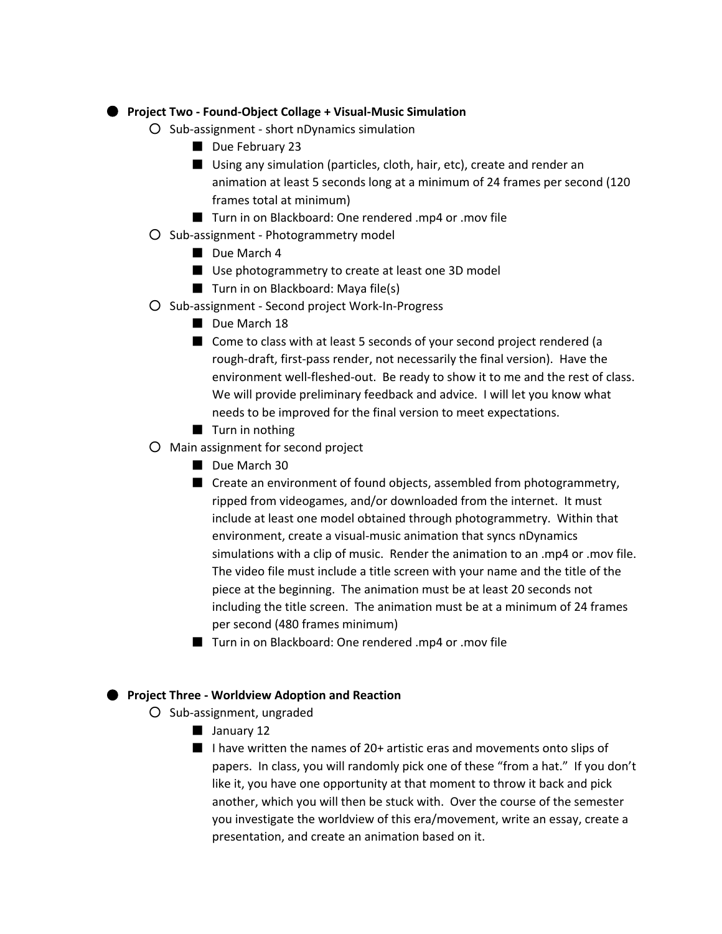### ● **Project Two - Found-Object Collage + Visual-Music Simulation**

- Sub-assignment short nDynamics simulation
	- Due February 23
	- Using any simulation (particles, cloth, hair, etc), create and render an animation at least 5 seconds long at a minimum of 24 frames per second (120 frames total at minimum)
	- Turn in on Blackboard: One rendered .mp4 or .mov file
- Sub-assignment Photogrammetry model
	- Due March 4
	- Use photogrammetry to create at least one 3D model
	- Turn in on Blackboard: Maya file(s)
- Sub-assignment Second project Work-In-Progress
	- Due March 18
	- Come to class with at least 5 seconds of your second project rendered (a rough-draft, first-pass render, not necessarily the final version). Have the environment well-fleshed-out. Be ready to show it to me and the rest of class. We will provide preliminary feedback and advice. I will let you know what needs to be improved for the final version to meet expectations.
	- Turn in nothing
- Main assignment for second project
	- Due March 30
	- Create an environment of found objects, assembled from photogrammetry, ripped from videogames, and/or downloaded from the internet. It must include at least one model obtained through photogrammetry. Within that environment, create a visual-music animation that syncs nDynamics simulations with a clip of music. Render the animation to an .mp4 or .mov file. The video file must include a title screen with your name and the title of the piece at the beginning. The animation must be at least 20 seconds not including the title screen. The animation must be at a minimum of 24 frames per second (480 frames minimum)
	- Turn in on Blackboard: One rendered .mp4 or .mov file

#### ● **Project Three - Worldview Adoption and Reaction**

- Sub-assignment, ungraded
	- January 12
	- I have written the names of 20+ artistic eras and movements onto slips of papers. In class, you will randomly pick one of these "from a hat." If you don't like it, you have one opportunity at that moment to throw it back and pick another, which you will then be stuck with. Over the course of the semester you investigate the worldview of this era/movement, write an essay, create a presentation, and create an animation based on it.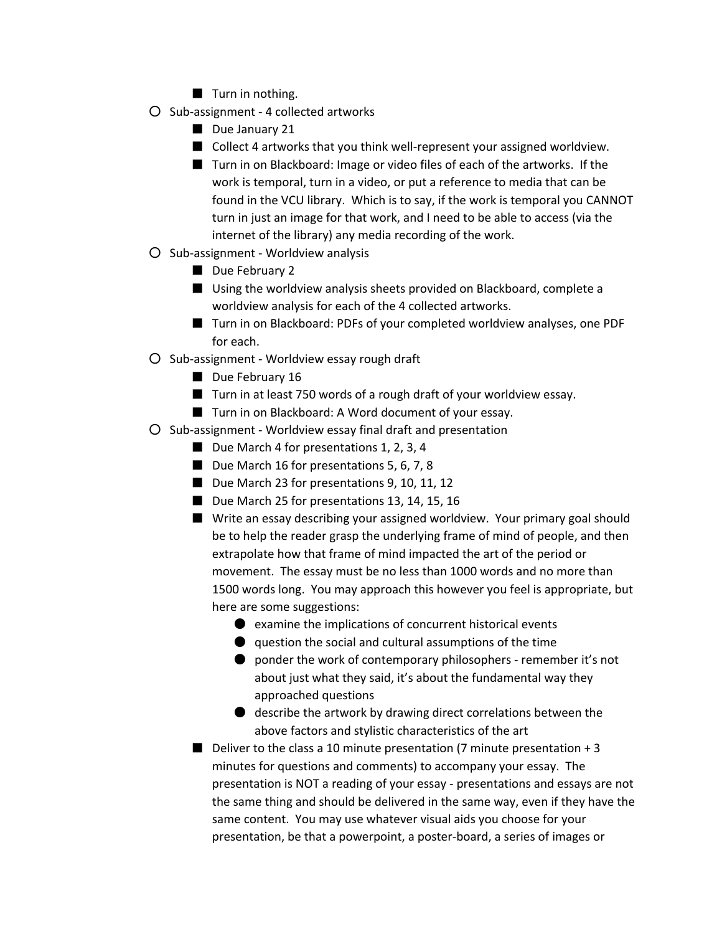- Turn in nothing.
- Sub-assignment 4 collected artworks
	- Due January 21
	- Collect 4 artworks that you think well-represent your assigned worldview.
	- Turn in on Blackboard: Image or video files of each of the artworks. If the work is temporal, turn in a video, or put a reference to media that can be found in the VCU library. Which is to say, if the work is temporal you CANNOT turn in just an image for that work, and I need to be able to access (via the internet of the library) any media recording of the work.
- Sub-assignment Worldview analysis
	- Due February 2
	- Using the worldview analysis sheets provided on Blackboard, complete a worldview analysis for each of the 4 collected artworks.
	- Turn in on Blackboard: PDFs of your completed worldview analyses, one PDF for each.
- Sub-assignment Worldview essay rough draft
	- Due February 16
	- Turn in at least 750 words of a rough draft of your worldview essay.
	- Turn in on Blackboard: A Word document of your essay.
- Sub-assignment Worldview essay final draft and presentation
	- Due March 4 for presentations 1, 2, 3, 4
	- Due March 16 for presentations 5, 6, 7, 8
	- Due March 23 for presentations 9, 10, 11, 12
	- Due March 25 for presentations 13, 14, 15, 16
	- Write an essay describing your assigned worldview. Your primary goal should be to help the reader grasp the underlying frame of mind of people, and then extrapolate how that frame of mind impacted the art of the period or movement. The essay must be no less than 1000 words and no more than 1500 words long. You may approach this however you feel is appropriate, but here are some suggestions:
		- $\bullet$  examine the implications of concurrent historical events
		- $\bullet$  question the social and cultural assumptions of the time
		- ponder the work of contemporary philosophers remember it's not about just what they said, it's about the fundamental way they approached questions
		- describe the artwork by drawing direct correlations between the above factors and stylistic characteristics of the art
	- **Deliver to the class a 10 minute presentation (7 minute presentation + 3** minutes for questions and comments) to accompany your essay. The presentation is NOT a reading of your essay - presentations and essays are not the same thing and should be delivered in the same way, even if they have the same content. You may use whatever visual aids you choose for your presentation, be that a powerpoint, a poster-board, a series of images or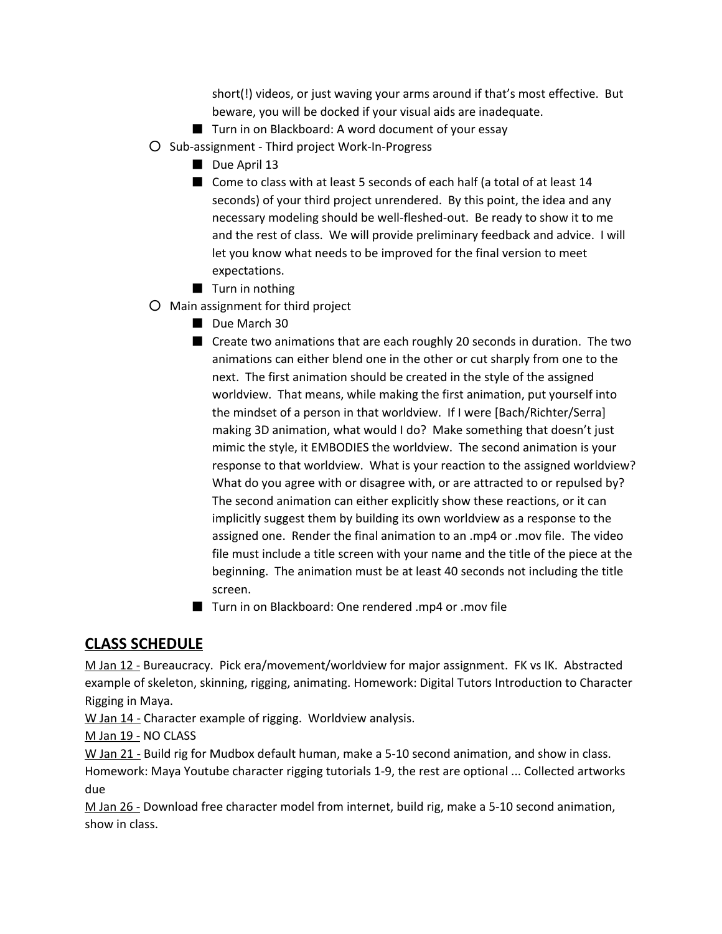short(!) videos, or just waving your arms around if that's most effective. But beware, you will be docked if your visual aids are inadequate.

- Turn in on Blackboard: A word document of your essay
- Sub-assignment Third project Work-In-Progress
	- Due April 13
	- Come to class with at least 5 seconds of each half (a total of at least 14 seconds) of your third project unrendered. By this point, the idea and any necessary modeling should be well-fleshed-out. Be ready to show it to me and the rest of class. We will provide preliminary feedback and advice. I will let you know what needs to be improved for the final version to meet expectations.
	- Turn in nothing
- Main assignment for third project
	- Due March 30
	- Create two animations that are each roughly 20 seconds in duration. The two animations can either blend one in the other or cut sharply from one to the next. The first animation should be created in the style of the assigned worldview. That means, while making the first animation, put yourself into the mindset of a person in that worldview. If I were [Bach/Richter/Serra] making 3D animation, what would I do? Make something that doesn't just mimic the style, it EMBODIES the worldview. The second animation is your response to that worldview. What is your reaction to the assigned worldview? What do you agree with or disagree with, or are attracted to or repulsed by? The second animation can either explicitly show these reactions, or it can implicitly suggest them by building its own worldview as a response to the assigned one. Render the final animation to an .mp4 or .mov file. The video file must include a title screen with your name and the title of the piece at the beginning. The animation must be at least 40 seconds not including the title screen.
	- Turn in on Blackboard: One rendered .mp4 or .mov file

## **CLASS SCHEDULE**

M Jan 12 - Bureaucracy. Pick era/movement/worldview for major assignment. FK vs IK. Abstracted example of skeleton, skinning, rigging, animating. Homework: Digital Tutors Introduction to Character Rigging in Maya.

W Jan 14 - Character example of rigging. Worldview analysis.

M Jan 19 - NO CLASS

W Jan 21 - Build rig for Mudbox default human, make a 5-10 second animation, and show in class. Homework: Maya Youtube character rigging tutorials 1-9, the rest are optional ... Collected artworks due

M Jan 26 - Download free character model from internet, build rig, make a 5-10 second animation, show in class.